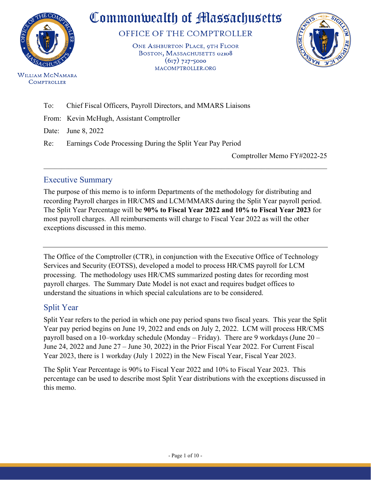

**WILLIAM MCNAMARA COMPTROLLER** 

# Commonwealth of Massachusetts

OFFICE OF THE COMPTROLLER

ONE ASHBURTON PLACE, 9TH FLOOR BOSTON, MASSACHUSETTS 02108  $(617)$  727-5000 MACOMPTROLLER.ORG



To: Chief Fiscal Officers, Payroll Directors, and MMARS Liaisons

From: Kevin McHugh, Assistant Comptroller

Date: June 8, 2022

Re: Earnings Code Processing During the Split Year Pay Period

Comptroller Memo FY#2022-25

# Executive Summary

The purpose of this memo is to inform Departments of the methodology for distributing and recording Payroll charges in HR/CMS and LCM/MMARS during the Split Year payroll period. The Split Year Percentage will be **90% to Fiscal Year 2022 and 10% to Fiscal Year 2023** for most payroll charges. All reimbursements will charge to Fiscal Year 2022 as will the other exceptions discussed in this memo.

 $\mathcal{L}_\mathcal{L} = \mathcal{L}_\mathcal{L} = \mathcal{L}_\mathcal{L} = \mathcal{L}_\mathcal{L} = \mathcal{L}_\mathcal{L} = \mathcal{L}_\mathcal{L} = \mathcal{L}_\mathcal{L} = \mathcal{L}_\mathcal{L} = \mathcal{L}_\mathcal{L} = \mathcal{L}_\mathcal{L} = \mathcal{L}_\mathcal{L} = \mathcal{L}_\mathcal{L} = \mathcal{L}_\mathcal{L} = \mathcal{L}_\mathcal{L} = \mathcal{L}_\mathcal{L} = \mathcal{L}_\mathcal{L} = \mathcal{L}_\mathcal{L}$ 

The Office of the Comptroller (CTR), in conjunction with the Executive Office of Technology Services and Security (EOTSS), developed a model to process HR/CMS payroll for LCM processing. The methodology uses HR/CMS summarized posting dates for recording most payroll charges. The Summary Date Model is not exact and requires budget offices to understand the situations in which special calculations are to be considered.

# Split Year

Split Year refers to the period in which one pay period spans two fiscal years. This year the Split Year pay period begins on June 19, 2022 and ends on July 2, 2022. LCM will process HR/CMS payroll based on a 10–workday schedule (Monday – Friday). There are 9 workdays (June 20 – June 24, 2022 and June 27 – June 30, 2022) in the Prior Fiscal Year 2022. For Current Fiscal Year 2023, there is 1 workday (July 1 2022) in the New Fiscal Year, Fiscal Year 2023.

The Split Year Percentage is 90% to Fiscal Year 2022 and 10% to Fiscal Year 2023. This percentage can be used to describe most Split Year distributions with the exceptions discussed in this memo.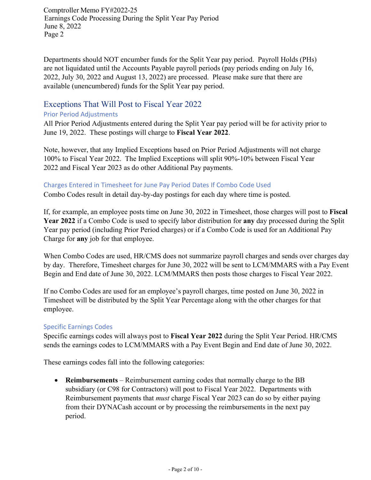Departments should NOT encumber funds for the Split Year pay period. Payroll Holds (PHs) are not liquidated until the Accounts Payable payroll periods (pay periods ending on July 16, 2022, July 30, 2022 and August 13, 2022) are processed. Please make sure that there are available (unencumbered) funds for the Split Year pay period.

# Exceptions That Will Post to Fiscal Year 2022

#### Prior Period Adjustments

All Prior Period Adjustments entered during the Split Year pay period will be for activity prior to June 19, 2022. These postings will charge to **Fiscal Year 2022**.

Note, however, that any Implied Exceptions based on Prior Period Adjustments will not charge 100% to Fiscal Year 2022. The Implied Exceptions will split 90%-10% between Fiscal Year 2022 and Fiscal Year 2023 as do other Additional Pay payments.

#### Charges Entered in Timesheet for June Pay Period Dates If Combo Code Used

Combo Codes result in detail day-by-day postings for each day where time is posted.

If, for example, an employee posts time on June 30, 2022 in Timesheet, those charges will post to **Fiscal Year 2022** if a Combo Code is used to specify labor distribution for **any** day processed during the Split Year pay period (including Prior Period charges) or if a Combo Code is used for an Additional Pay Charge for **any** job for that employee.

When Combo Codes are used, HR/CMS does not summarize payroll charges and sends over charges day by day. Therefore, Timesheet charges for June 30, 2022 will be sent to LCM/MMARS with a Pay Event Begin and End date of June 30, 2022. LCM/MMARS then posts those charges to Fiscal Year 2022.

If no Combo Codes are used for an employee's payroll charges, time posted on June 30, 2022 in Timesheet will be distributed by the Split Year Percentage along with the other charges for that employee.

#### Specific Earnings Codes

Specific earnings codes will always post to **Fiscal Year 2022** during the Split Year Period. HR/CMS sends the earnings codes to LCM/MMARS with a Pay Event Begin and End date of June 30, 2022.

These earnings codes fall into the following categories:

• **Reimbursements** – Reimbursement earning codes that normally charge to the BB subsidiary (or C98 for Contractors) will post to Fiscal Year 2022. Departments with Reimbursement payments that *must* charge Fiscal Year 2023 can do so by either paying from their DYNACash account or by processing the reimbursements in the next pay period.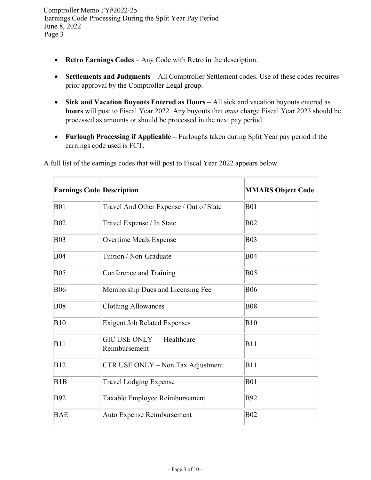- **Retro Earnings Codes**  Any Code with Retro in the description.
- **Settlements and Judgments** All Comptroller Settlement codes. Use of these codes requires prior approval by the Comptroller Legal group.
- Sick and Vacation Buyouts Entered as Hours All sick and vacation buyouts entered as **hours** will post to Fiscal Year 2022. Any buyouts that *must* charge Fiscal Year 2023 should be processed as amounts or should be processed in the next pay period.
- **Furlough Processing if Applicable –** Furloughs taken during Split Year pay period if the earnings code used is FCT.

| <b>Earnings Code Description</b> |                                            | <b>MMARS Object Code</b> |
|----------------------------------|--------------------------------------------|--------------------------|
| <b>B01</b>                       | Travel And Other Expense / Out of State    | <b>B01</b>               |
| <b>B02</b>                       | Travel Expense / In State                  | <b>B02</b>               |
| <b>B03</b>                       | <b>Overtime Meals Expense</b>              | <b>B03</b>               |
| <b>B04</b>                       | Tuition / Non-Graduate                     | <b>B04</b>               |
| <b>B05</b>                       | Conference and Training                    | <b>B05</b>               |
| <b>B06</b>                       | Membership Dues and Licensing Fee          | <b>B06</b>               |
| <b>B08</b>                       | <b>Clothing Allowances</b>                 | <b>B08</b>               |
| B10                              | <b>Exigent Job Related Expenses</b>        | <b>B10</b>               |
| B11                              | GIC USE ONLY - Healthcare<br>Reimbursement | <b>B11</b>               |
| B12                              | CTR USE ONLY - Non Tax Adjustment          | <b>B11</b>               |
| B <sub>1</sub> B                 | <b>Travel Lodging Expense</b>              | <b>B01</b>               |
| <b>B92</b>                       | Taxable Employee Reimbursement             | <b>B92</b>               |
| <b>BAE</b>                       | Auto Expense Reimbursement                 | <b>B02</b>               |

A full list of the earnings codes that will post to Fiscal Year 2022 appears below.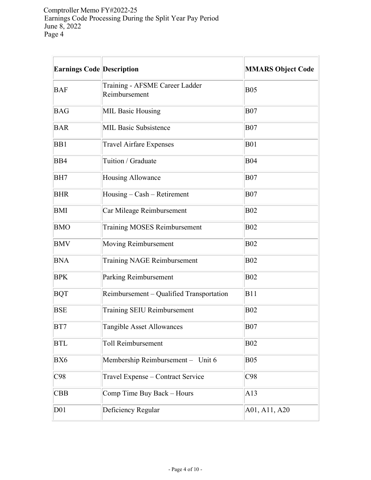| Earnings Code Description |                                                     | <b>MMARS Object Code</b> |
|---------------------------|-----------------------------------------------------|--------------------------|
| <b>BAF</b>                | Training - AFSME Career Ladder<br>Reimbursement     | <b>B05</b>               |
| <b>BAG</b>                | <b>MIL Basic Housing</b>                            | <b>B07</b>               |
| <b>BAR</b>                | <b>MIL Basic Subsistence</b>                        | <b>B07</b>               |
| B <sub>B1</sub>           | <b>Travel Airfare Expenses</b>                      | <b>B01</b>               |
| B <sub>B4</sub>           | Tuition / Graduate                                  | <b>B04</b>               |
| BH7                       | Housing Allowance                                   | <b>B07</b>               |
| <b>BHR</b>                | $H \text{ousing} - \text{Cash} - \text{Retirement}$ | <b>B07</b>               |
| BMI                       | Car Mileage Reimbursement                           | <b>B02</b>               |
| <b>BMO</b>                | <b>Training MOSES Reimbursement</b>                 | <b>B02</b>               |
| <b>BMV</b>                | Moving Reimbursement                                | <b>B02</b>               |
| <b>BNA</b>                | Training NAGE Reimbursement                         | <b>B02</b>               |
| <b>BPK</b>                | Parking Reimbursement                               | <b>B02</b>               |
| <b>BQT</b>                | Reimbursement – Qualified Transportation            | <b>B11</b>               |
| <b>BSE</b>                | Training SEIU Reimbursement                         | <b>B02</b>               |
| BT7                       | Tangible Asset Allowances                           | <b>B07</b>               |
| <b>BTL</b>                | Toll Reimbursement                                  | <b>B02</b>               |
| BX6                       | Membership Reimbursement - Unit 6                   | <b>B05</b>               |
| C98                       | Travel Expense - Contract Service                   | C98                      |
| <b>CBB</b>                | Comp Time Buy Back - Hours                          | A13                      |
| D <sub>01</sub>           | Deficiency Regular                                  | A01, A11, A20            |

 $\overline{\phantom{a}}$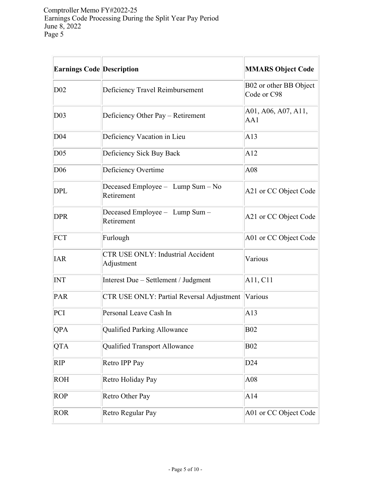| <b>Earnings Code Description</b> |                                                        | <b>MMARS Object Code</b>              |
|----------------------------------|--------------------------------------------------------|---------------------------------------|
| D <sub>02</sub>                  | Deficiency Travel Reimbursement                        | B02 or other BB Object<br>Code or C98 |
| D <sub>03</sub>                  | Deficiency Other Pay - Retirement                      | A01, A06, A07, A11,<br>AA1            |
| D <sub>04</sub>                  | Deficiency Vacation in Lieu                            | A13                                   |
| D05                              | Deficiency Sick Buy Back                               | A12                                   |
| D <sub>06</sub>                  | Deficiency Overtime                                    | A08                                   |
| <b>DPL</b>                       | Deceased Employee - Lump Sum - No<br>Retirement        | A21 or CC Object Code                 |
| <b>DPR</b>                       | Deceased Employee - Lump Sum -<br>Retirement           | A21 or CC Object Code                 |
| FCT                              | Furlough                                               | A01 or CC Object Code                 |
| <b>IAR</b>                       | <b>CTR USE ONLY: Industrial Accident</b><br>Adjustment | Various                               |
| <b>INT</b>                       | Interest Due - Settlement / Judgment                   | A11, C11                              |
| PAR                              | CTR USE ONLY: Partial Reversal Adjustment              | Various                               |
| PCI                              | Personal Leave Cash In                                 | A13                                   |
| QPA                              | Qualified Parking Allowance                            | <b>B02</b>                            |
| <b>QTA</b>                       | Qualified Transport Allowance                          | <b>B02</b>                            |
| <b>RIP</b>                       | Retro IPP Pay                                          | D <sub>24</sub>                       |
| <b>ROH</b>                       | Retro Holiday Pay                                      | A08                                   |
| <b>ROP</b>                       | Retro Other Pay                                        | A14                                   |
| <b>ROR</b>                       | Retro Regular Pay                                      | A01 or CC Object Code                 |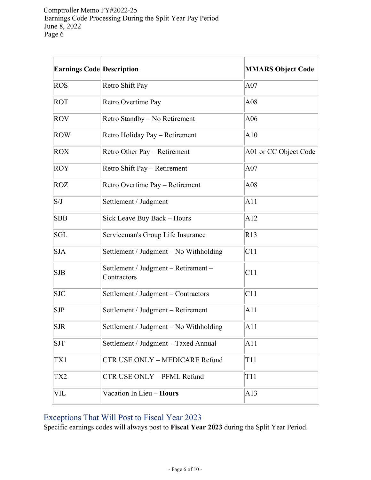| <b>Earnings Code Description</b> |                                                     | <b>MMARS Object Code</b> |
|----------------------------------|-----------------------------------------------------|--------------------------|
| <b>ROS</b>                       | Retro Shift Pay                                     | A07                      |
| <b>ROT</b>                       | Retro Overtime Pay                                  | A08                      |
| <b>ROV</b>                       | Retro Standby - No Retirement                       | A06                      |
| <b>ROW</b>                       | Retro Holiday Pay - Retirement                      | A10                      |
| <b>ROX</b>                       | Retro Other Pay - Retirement                        | A01 or CC Object Code    |
| ROY                              | Retro Shift Pay – Retirement                        | A07                      |
| <b>ROZ</b>                       | Retro Overtime Pay - Retirement                     | A08                      |
| S/J                              | Settlement / Judgment                               | A11                      |
| <b>SBB</b>                       | Sick Leave Buy Back - Hours                         | A12                      |
| <b>SGL</b>                       | Serviceman's Group Life Insurance                   | R13                      |
| <b>SJA</b>                       | Settlement / Judgment – No Withholding              | C11                      |
| <b>SJB</b>                       | Settlement / Judgment - Retirement -<br>Contractors | C11                      |
| <b>SJC</b>                       | Settlement / Judgment - Contractors                 | C11                      |
| $\sqrt{\text{SJP}}$              | Settlement / Judgment – Retirement                  | A11                      |
| <b>SJR</b>                       | Settlement / Judgment – No Withholding              | A11                      |
| <b>SJT</b>                       | Settlement / Judgment - Taxed Annual                | A11                      |
| TX1                              | CTR USE ONLY - MEDICARE Refund                      | T11                      |
| TX2                              | CTR USE ONLY - PFML Refund                          | T11                      |
| VIL                              | Vacation In Lieu - Hours                            | A13                      |

# Exceptions That Will Post to Fiscal Year 2023

Specific earnings codes will always post to **Fiscal Year 2023** during the Split Year Period.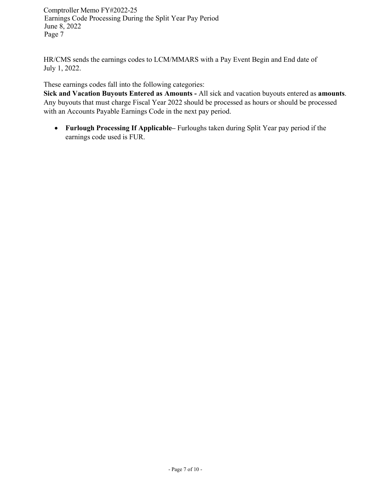HR/CMS sends the earnings codes to LCM/MMARS with a Pay Event Begin and End date of July 1, 2022.

These earnings codes fall into the following categories:

**Sick and Vacation Buyouts Entered as Amounts -** All sick and vacation buyouts entered as **amounts**. Any buyouts that must charge Fiscal Year 2022 should be processed as hours or should be processed with an Accounts Payable Earnings Code in the next pay period.

• **Furlough Processing If Applicable–** Furloughs taken during Split Year pay period if the earnings code used is FUR.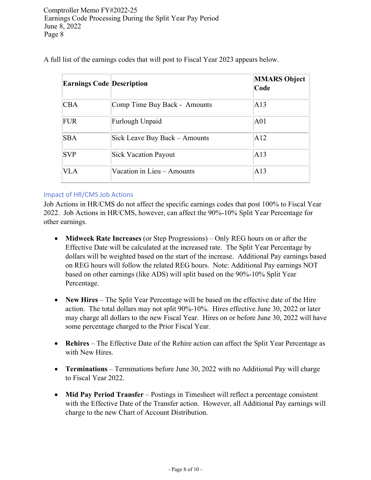| <b>Earnings Code Description</b> |                               | <b>MMARS Object</b><br>Code |
|----------------------------------|-------------------------------|-----------------------------|
| <b>CBA</b>                       | Comp Time Buy Back - Amounts  | A13                         |
| <b>FUR</b>                       | Furlough Unpaid               | A01                         |
| <b>SBA</b>                       | Sick Leave Buy Back – Amounts | A12                         |
| <b>SVP</b>                       | <b>Sick Vacation Payout</b>   | A13                         |
| <b>VLA</b>                       | Vacation in Lieu - Amounts    | A13                         |

A full list of the earnings codes that will post to Fiscal Year 2023 appears below.

#### Impact of HR/CMS Job Actions

Job Actions in HR/CMS do not affect the specific earnings codes that post 100% to Fiscal Year 2022. Job Actions in HR/CMS, however, can affect the 90%-10% Split Year Percentage for other earnings.

- **Midweek Rate Increases** (or Step Progressions) Only REG hours on or after the Effective Date will be calculated at the increased rate. The Split Year Percentage by dollars will be weighted based on the start of the increase. Additional Pay earnings based on REG hours will follow the related REG hours. Note: Additional Pay earnings NOT based on other earnings (like ADS) will split based on the 90%-10% Split Year Percentage.
- **New Hires** The Split Year Percentage will be based on the effective date of the Hire action. The total dollars may not split 90%-10%. Hires effective June 30, 2022 or later may charge all dollars to the new Fiscal Year. Hires on or before June 30, 2022 will have some percentage charged to the Prior Fiscal Year.
- **Rehires** The Effective Date of the Rehire action can affect the Split Year Percentage as with New Hires.
- **Terminations** Terminations before June 30, 2022 with no Additional Pay will charge to Fiscal Year 2022.
- **Mid Pay Period Transfer** Postings in Timesheet will reflect a percentage consistent with the Effective Date of the Transfer action. However, all Additional Pay earnings will charge to the new Chart of Account Distribution.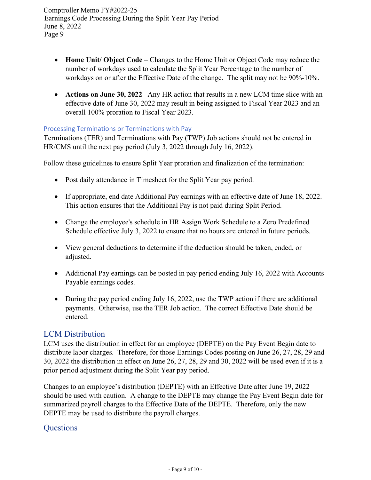- **Home Unit/ Object Code** Changes to the Home Unit or Object Code may reduce the number of workdays used to calculate the Split Year Percentage to the number of workdays on or after the Effective Date of the change. The split may not be 90%-10%.
- **Actions on June 30, 2022** Any HR action that results in a new LCM time slice with an effective date of June 30, 2022 may result in being assigned to Fiscal Year 2023 and an overall 100% proration to Fiscal Year 2023.

#### Processing Terminations or Terminations with Pay

Terminations (TER) and Terminations with Pay (TWP) Job actions should not be entered in HR/CMS until the next pay period (July 3, 2022 through July 16, 2022).

Follow these guidelines to ensure Split Year proration and finalization of the termination:

- Post daily attendance in Timesheet for the Split Year pay period.
- If appropriate, end date Additional Pay earnings with an effective date of June 18, 2022. This action ensures that the Additional Pay is not paid during Split Period.
- Change the employee's schedule in HR Assign Work Schedule to a Zero Predefined Schedule effective July 3, 2022 to ensure that no hours are entered in future periods.
- View general deductions to determine if the deduction should be taken, ended, or adjusted.
- Additional Pay earnings can be posted in pay period ending July 16, 2022 with Accounts Payable earnings codes.
- During the pay period ending July 16, 2022, use the TWP action if there are additional payments. Otherwise, use the TER Job action. The correct Effective Date should be entered.

# LCM Distribution

LCM uses the distribution in effect for an employee (DEPTE) on the Pay Event Begin date to distribute labor charges. Therefore, for those Earnings Codes posting on June 26, 27, 28, 29 and 30, 2022 the distribution in effect on June 26, 27, 28, 29 and 30, 2022 will be used even if it is a prior period adjustment during the Split Year pay period.

Changes to an employee's distribution (DEPTE) with an Effective Date after June 19, 2022 should be used with caution. A change to the DEPTE may change the Pay Event Begin date for summarized payroll charges to the Effective Date of the DEPTE. Therefore, only the new DEPTE may be used to distribute the payroll charges.

# **Questions**